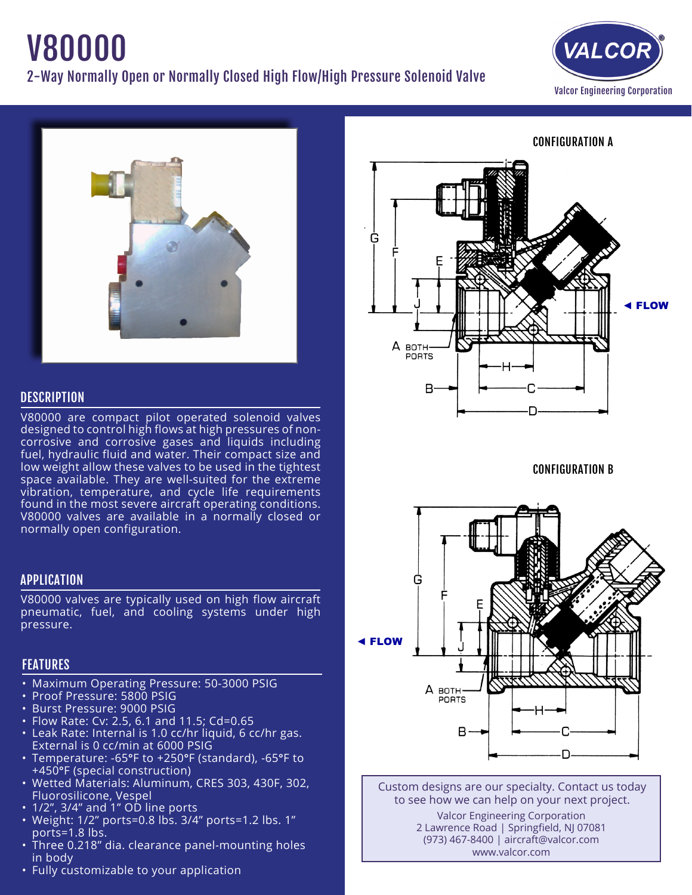# V80000 2-Way Normally Open or Normally Closed High Flow/High Pressure Solenoid Valve





# **DESCRIPTION**

V80000 are compact pilot operated solenoid valves designed to control high flows at high pressures of noncorrosive and corrosive gases and liquids including fuel, hydraulic fluid and water. Their compact size and low weight allow these valves to be used in the tightest space available. They are well-suited for the extreme vibration, temperature, and cycle life requirements found in the most severe aircraft operating conditions. V80000 valves are available in a normally closed or normally open configuration.

# APPLICATION

V80000 valves are typically used on high flow aircraft pneumatic, fuel, and cooling systems under high pressure.

# FEATURES

- Maximum Operating Pressure: 50-3000 PSIG
- • Proof Pressure: 5800 PSIG
- • Burst Pressure: 9000 PSIG
- Flow Rate: Cv: 2.5, 6.1 and 11.5; Cd=0.65
- • Leak Rate: Internal is 1.0 cc/hr liquid, 6 cc/hr gas. External is 0 cc/min at 6000 PSIG
- Temperature: -65°F to +250°F (standard), -65°F to +450°F (special construction)
- • Wetted Materials: Aluminum, CRES 303, 430F, 302, Fluorosilicone, Vespel
- $\cdot$  1/2", 3/4" and 1" OD line ports
- • Weight: 1/2" ports=0.8 lbs. 3/4" ports=1.2 lbs. 1" ports=1.8 lbs.
- Three 0.218" dia. clearance panel-mounting holes in body
- Fully customizable to your application



CONFIGURATION B



Custom designs are our specialty. Contact us today to see how we can help on your next project. Valcor Engineering Corporation 2 Lawrence Road | Springfield, NJ 07081 (973) 467-8400 | aircraft@valcor.com www.valcor.com

CONFIGURATION A